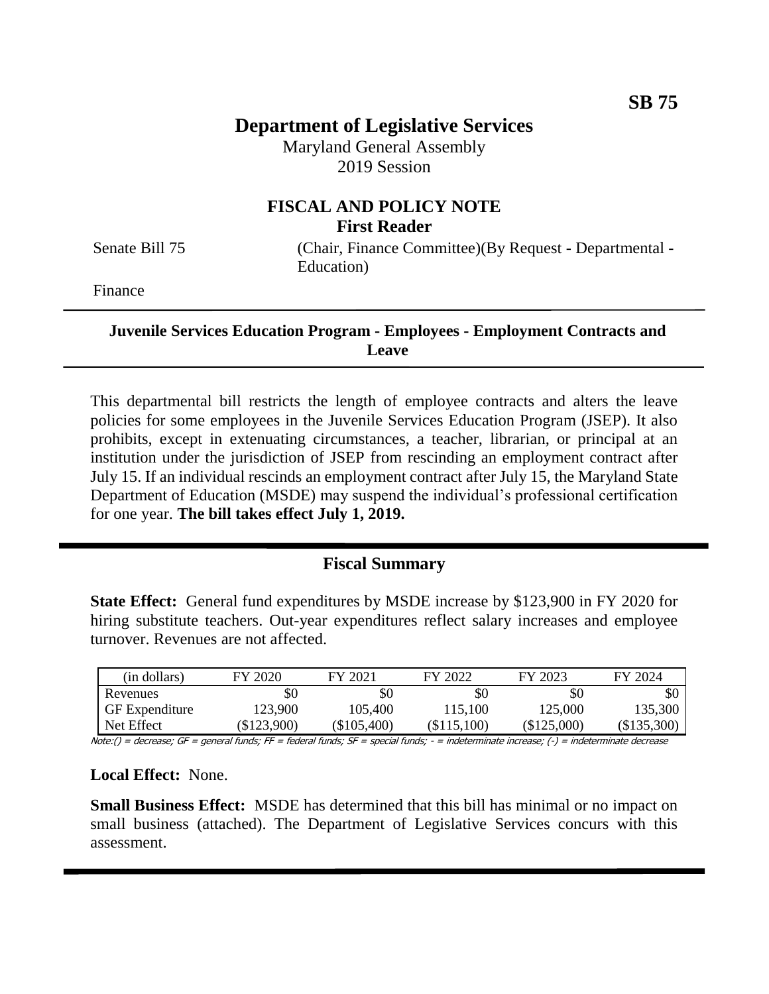# **Department of Legislative Services**

Maryland General Assembly 2019 Session

# **FISCAL AND POLICY NOTE First Reader**

Senate Bill 75 (Chair, Finance Committee)(By Request - Departmental -Education)

Finance

#### **Juvenile Services Education Program - Employees - Employment Contracts and Leave**

This departmental bill restricts the length of employee contracts and alters the leave policies for some employees in the Juvenile Services Education Program (JSEP). It also prohibits, except in extenuating circumstances, a teacher, librarian, or principal at an institution under the jurisdiction of JSEP from rescinding an employment contract after July 15. If an individual rescinds an employment contract after July 15, the Maryland State Department of Education (MSDE) may suspend the individual's professional certification for one year. **The bill takes effect July 1, 2019.**

# **Fiscal Summary**

**State Effect:** General fund expenditures by MSDE increase by \$123,900 in FY 2020 for hiring substitute teachers. Out-year expenditures reflect salary increases and employee turnover. Revenues are not affected.

| (in dollars)          | FY 2020   | FY 2021       | FY 2022       | FY 2023     | FY 2024       |
|-----------------------|-----------|---------------|---------------|-------------|---------------|
| Revenues              | \$0       | \$0           | \$0           | \$0         | \$0           |
| <b>GF</b> Expenditure | 123,900   | 105.400       | 115.100       | 125.000     | 135.300       |
| Net Effect            | \$123,900 | $(\$105,400)$ | $(\$115,100)$ | (\$125,000) | $(\$135,300)$ |

Note:() = decrease; GF = general funds; FF = federal funds; SF = special funds; - = indeterminate increase; (-) = indeterminate decrease

#### **Local Effect:** None.

**Small Business Effect:** MSDE has determined that this bill has minimal or no impact on small business (attached). The Department of Legislative Services concurs with this assessment.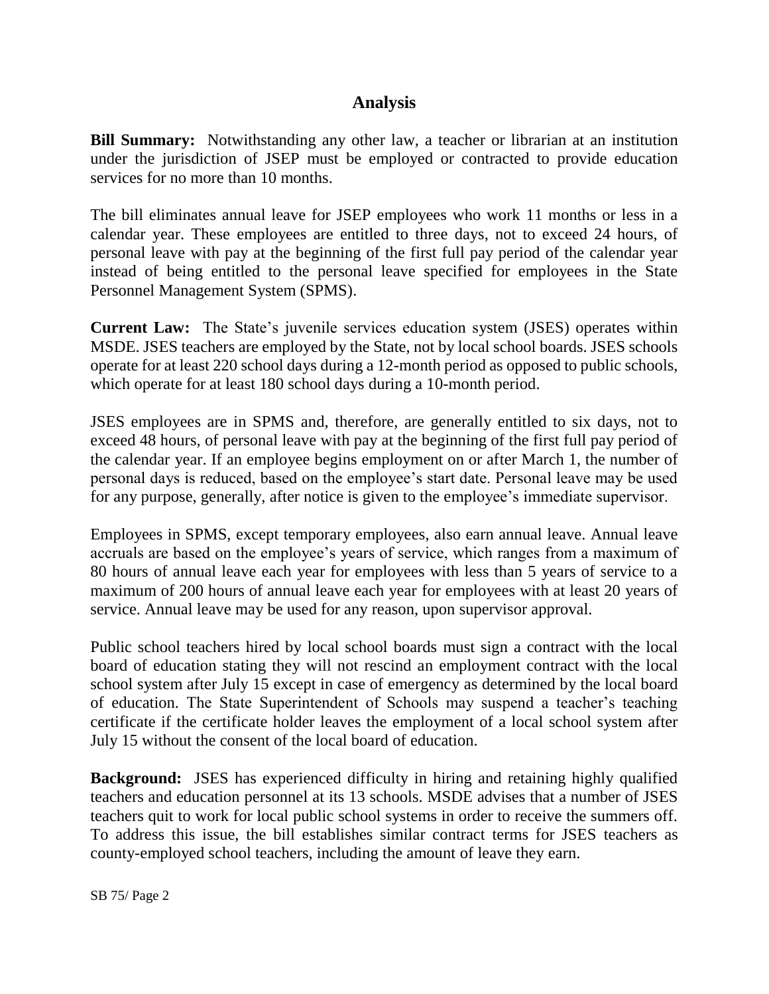# **Analysis**

**Bill Summary:** Notwithstanding any other law, a teacher or librarian at an institution under the jurisdiction of JSEP must be employed or contracted to provide education services for no more than 10 months.

The bill eliminates annual leave for JSEP employees who work 11 months or less in a calendar year. These employees are entitled to three days, not to exceed 24 hours, of personal leave with pay at the beginning of the first full pay period of the calendar year instead of being entitled to the personal leave specified for employees in the State Personnel Management System (SPMS).

**Current Law:** The State's juvenile services education system (JSES) operates within MSDE. JSES teachers are employed by the State, not by local school boards. JSES schools operate for at least 220 school days during a 12-month period as opposed to public schools, which operate for at least 180 school days during a 10-month period.

JSES employees are in SPMS and, therefore, are generally entitled to six days, not to exceed 48 hours, of personal leave with pay at the beginning of the first full pay period of the calendar year. If an employee begins employment on or after March 1, the number of personal days is reduced, based on the employee's start date. Personal leave may be used for any purpose, generally, after notice is given to the employee's immediate supervisor.

Employees in SPMS, except temporary employees, also earn annual leave. Annual leave accruals are based on the employee's years of service, which ranges from a maximum of 80 hours of annual leave each year for employees with less than 5 years of service to a maximum of 200 hours of annual leave each year for employees with at least 20 years of service. Annual leave may be used for any reason, upon supervisor approval.

Public school teachers hired by local school boards must sign a contract with the local board of education stating they will not rescind an employment contract with the local school system after July 15 except in case of emergency as determined by the local board of education. The State Superintendent of Schools may suspend a teacher's teaching certificate if the certificate holder leaves the employment of a local school system after July 15 without the consent of the local board of education.

**Background:** JSES has experienced difficulty in hiring and retaining highly qualified teachers and education personnel at its 13 schools. MSDE advises that a number of JSES teachers quit to work for local public school systems in order to receive the summers off. To address this issue, the bill establishes similar contract terms for JSES teachers as county-employed school teachers, including the amount of leave they earn.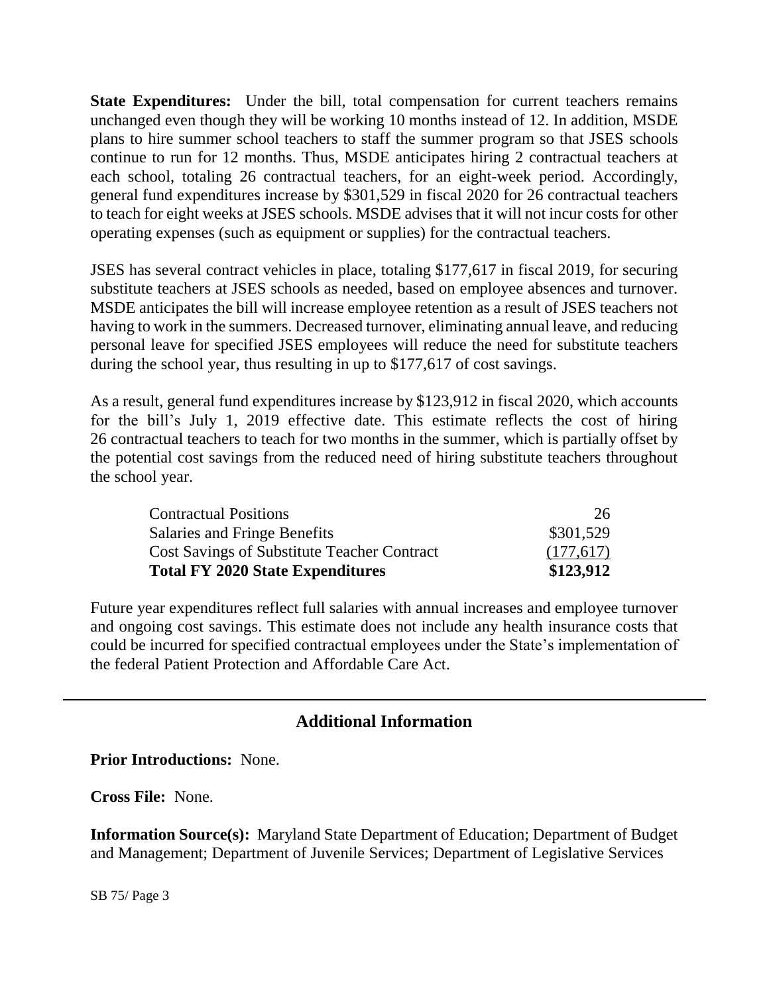**State Expenditures:** Under the bill, total compensation for current teachers remains unchanged even though they will be working 10 months instead of 12. In addition, MSDE plans to hire summer school teachers to staff the summer program so that JSES schools continue to run for 12 months. Thus, MSDE anticipates hiring 2 contractual teachers at each school, totaling 26 contractual teachers, for an eight-week period. Accordingly, general fund expenditures increase by \$301,529 in fiscal 2020 for 26 contractual teachers to teach for eight weeks at JSES schools. MSDE advises that it will not incur costs for other operating expenses (such as equipment or supplies) for the contractual teachers.

JSES has several contract vehicles in place, totaling \$177,617 in fiscal 2019, for securing substitute teachers at JSES schools as needed, based on employee absences and turnover. MSDE anticipates the bill will increase employee retention as a result of JSES teachers not having to work in the summers. Decreased turnover, eliminating annual leave, and reducing personal leave for specified JSES employees will reduce the need for substitute teachers during the school year, thus resulting in up to \$177,617 of cost savings.

As a result, general fund expenditures increase by \$123,912 in fiscal 2020, which accounts for the bill's July 1, 2019 effective date. This estimate reflects the cost of hiring 26 contractual teachers to teach for two months in the summer, which is partially offset by the potential cost savings from the reduced need of hiring substitute teachers throughout the school year.

| <b>Contractual Positions</b>                       | 26.       |
|----------------------------------------------------|-----------|
| Salaries and Fringe Benefits                       | \$301,529 |
| <b>Cost Savings of Substitute Teacher Contract</b> | (177,617) |
| <b>Total FY 2020 State Expenditures</b>            | \$123,912 |

Future year expenditures reflect full salaries with annual increases and employee turnover and ongoing cost savings. This estimate does not include any health insurance costs that could be incurred for specified contractual employees under the State's implementation of the federal Patient Protection and Affordable Care Act.

# **Additional Information**

**Prior Introductions:** None.

**Cross File:** None.

**Information Source(s):** Maryland State Department of Education; Department of Budget and Management; Department of Juvenile Services; Department of Legislative Services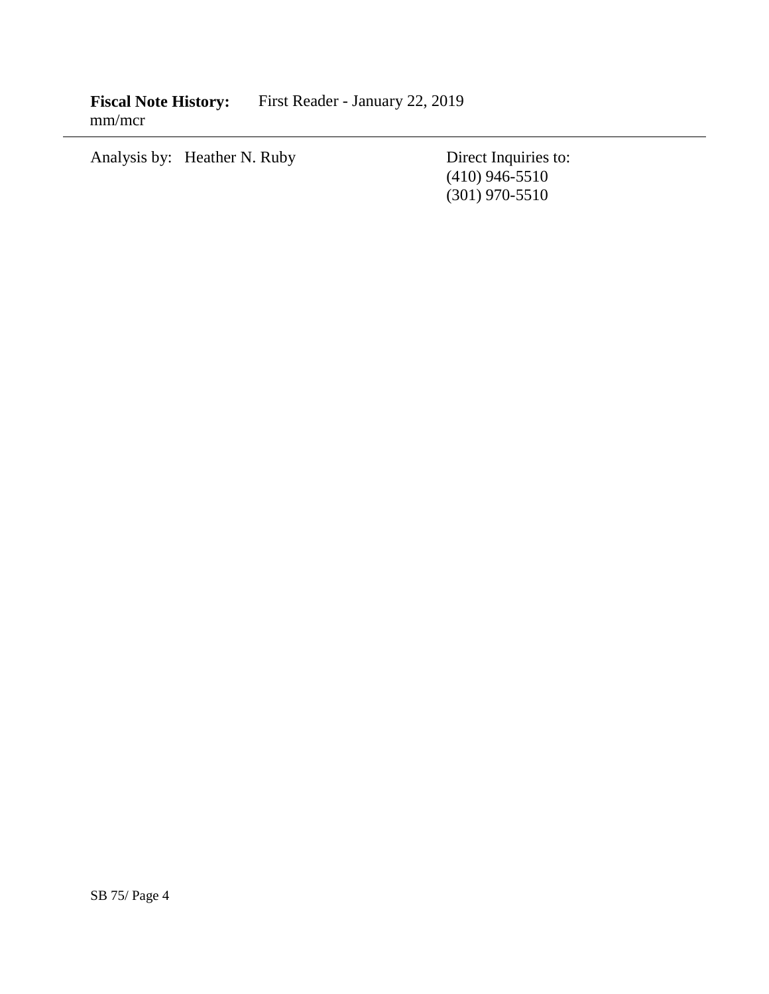**Fiscal Note History:** First Reader - January 22, 2019 mm/mcr

Analysis by: Heather N. Ruby Direct Inquiries to:

(410) 946-5510 (301) 970-5510